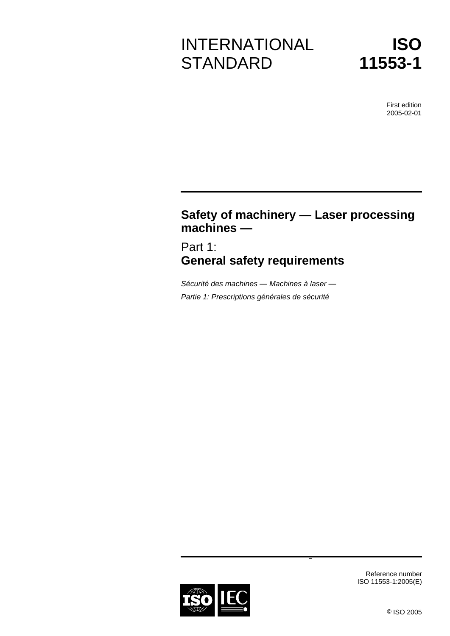# INTERNATIONAL **STANDARD**



First edition 2005-02-01

# **Safety of machinery — Laser processing machines —**

Part 1: **General safety requirements**

*Sécurité des machines — Machines à laser — Partie 1: Prescriptions générales de sécurité*



Reference number ISO 11553-1:2005(E)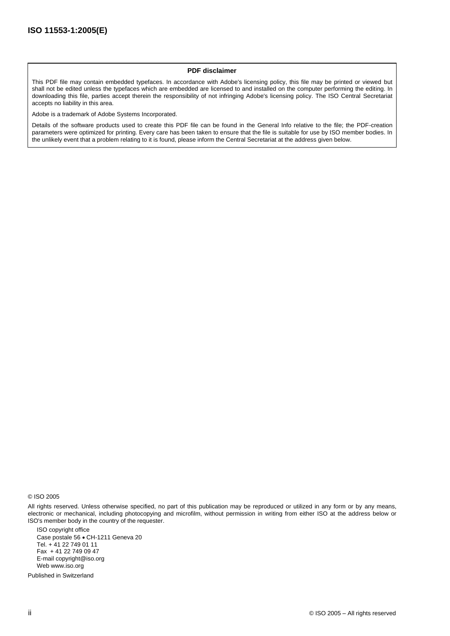#### **PDF disclaimer**

This PDF file may contain embedded typefaces. In accordance with Adobe's licensing policy, this file may be printed or viewed but shall not be edited unless the typefaces which are embedded are licensed to and installed on the computer performing the editing. In downloading this file, parties accept therein the responsibility of not infringing Adobe's licensing policy. The ISO Central Secretariat accepts no liability in this area.

Adobe is a trademark of Adobe Systems Incorporated.

Details of the software products used to create this PDF file can be found in the General Info relative to the file; the PDF-creation parameters were optimized for printing. Every care has been taken to ensure that the file is suitable for use by ISO member bodies. In the unlikely event that a problem relating to it is found, please inform the Central Secretariat at the address given below.

© ISO 2005

All rights reserved. Unless otherwise specified, no part of this publication may be reproduced or utilized in any form or by any means, electronic or mechanical, including photocopying and microfilm, without permission in writing from either ISO at the address below or ISO's member body in the country of the requester.

ISO copyright office Case postale 56 • CH-1211 Geneva 20 Tel. + 41 22 749 01 11 Fax + 41 22 749 09 47 E-mai[l copyright@iso.org](mailto:copyright@iso.org) We[b www.iso.org](http://www.iso.org/)

Published in Switzerland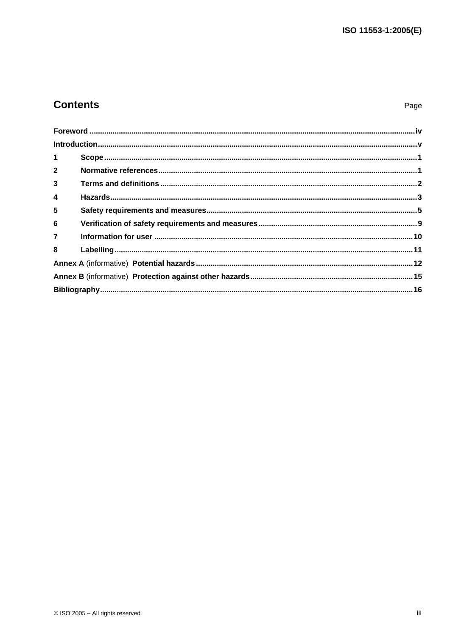# **Contents**

Page

| 1 <sup>1</sup>          |  |  |  |
|-------------------------|--|--|--|
| $\overline{2}$          |  |  |  |
| $\overline{\mathbf{3}}$ |  |  |  |
| 4                       |  |  |  |
| 5                       |  |  |  |
| 6                       |  |  |  |
| $\overline{7}$          |  |  |  |
| 8                       |  |  |  |
|                         |  |  |  |
|                         |  |  |  |
|                         |  |  |  |
|                         |  |  |  |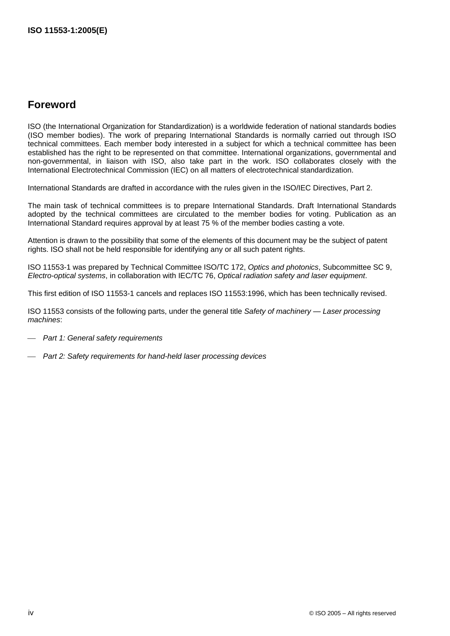## <span id="page-3-0"></span>**Foreword**

ISO (the International Organization for Standardization) is a worldwide federation of national standards bodies (ISO member bodies). The work of preparing International Standards is normally carried out through ISO technical committees. Each member body interested in a subject for which a technical committee has been established has the right to be represented on that committee. International organizations, governmental and non-governmental, in liaison with ISO, also take part in the work. ISO collaborates closely with the International Electrotechnical Commission (IEC) on all matters of electrotechnical standardization.

International Standards are drafted in accordance with the rules given in the ISO/IEC Directives, Part 2.

The main task of technical committees is to prepare International Standards. Draft International Standards adopted by the technical committees are circulated to the member bodies for voting. Publication as an International Standard requires approval by at least 75 % of the member bodies casting a vote.

Attention is drawn to the possibility that some of the elements of this document may be the subject of patent rights. ISO shall not be held responsible for identifying any or all such patent rights.

ISO 11553-1 was prepared by Technical Committee ISO/TC 172, *Optics and photonics*, Subcommittee SC 9, *Electro-optical systems*, in collaboration with IEC/TC 76, *Optical radiation safety and laser equipment*.

This first edition of ISO 11553-1 cancels and replaces ISO 11553:1996, which has been technically revised.

ISO 11553 consists of the following parts, under the general title *Safety of machinery — Laser processing machines*:

⎯ *Part 1: General safety requirements*

⎯ *Part 2: Safety requirements for hand-held laser processing devices*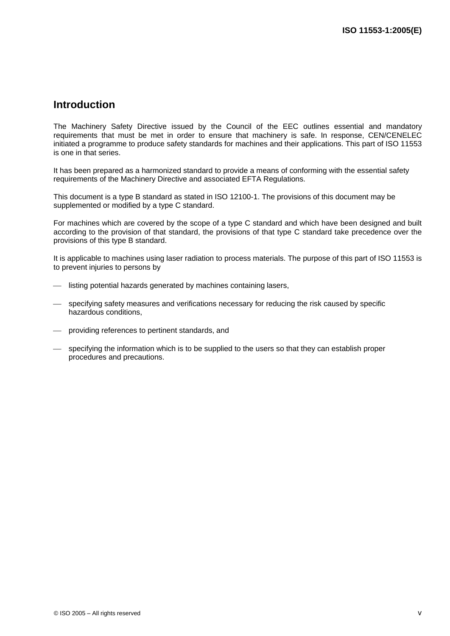### <span id="page-4-0"></span>**Introduction**

The Machinery Safety Directive issued by the Council of the EEC outlines essential and mandatory requirements that must be met in order to ensure that machinery is safe. In response, CEN/CENELEC initiated a programme to produce safety standards for machines and their applications. This part of ISO 11553 is one in that series.

It has been prepared as a harmonized standard to provide a means of conforming with the essential safety requirements of the Machinery Directive and associated EFTA Regulations.

This document is a type B standard as stated in ISO 12100-1. The provisions of this document may be supplemented or modified by a type C standard.

For machines which are covered by the scope of a type C standard and which have been designed and built according to the provision of that standard, the provisions of that type C standard take precedence over the provisions of this type B standard.

It is applicable to machines using laser radiation to process materials. The purpose of this part of ISO 11553 is to prevent injuries to persons by

- $-$  listing potential hazards generated by machines containing lasers,
- specifying safety measures and verifications necessary for reducing the risk caused by specific hazardous conditions,
- providing references to pertinent standards, and
- specifying the information which is to be supplied to the users so that they can establish proper procedures and precautions.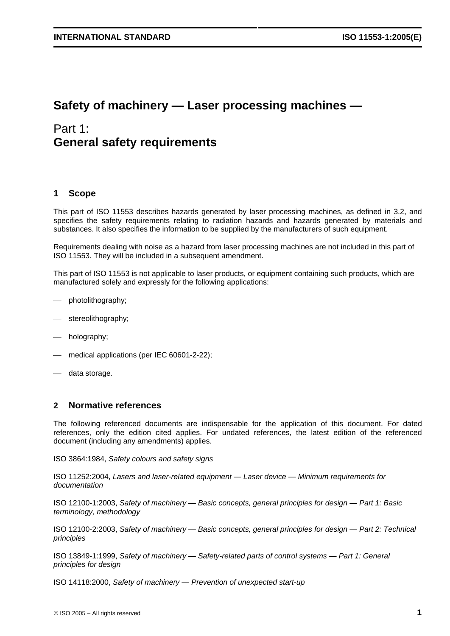# **Safety of machinery — Laser processing machines —**

# Part 1: **General safety requirements**

#### <span id="page-6-0"></span>**1 Scope**

This part of ISO 11553 describes hazards generated by laser processing machines, as defined in 3.2, and specifies the safety requirements relating to radiation hazards and hazards generated by materials and substances. It also specifies the information to be supplied by the manufacturers of such equipment.

Requirements dealing with noise as a hazard from laser processing machines are not included in this part of ISO 11553. They will be included in a subsequent amendment.

This part of ISO 11553 is not applicable to laser products, or equipment containing such products, which are manufactured solely and expressly for the following applications:

- $—$  photolithography;
- stereolithography;
- $-$  holography;
- medical applications (per IEC 60601-2-22);
- data storage.

#### <span id="page-6-1"></span>**2 Normative references**

The following referenced documents are indispensable for the application of this document. For dated references, only the edition cited applies. For undated references, the latest edition of the referenced document (including any amendments) applies.

ISO 3864:1984, *Safety colours and safety signs*

ISO 11252:2004, *Lasers and laser-related equipment — Laser device — Minimum requirements for documentation*

ISO 12100-1:2003, *Safety of machinery — Basic concepts, general principles for design — Part 1: Basic terminology, methodology*

ISO 12100-2:2003, *Safety of machinery — Basic concepts, general principles for design — Part 2: Technical principles*

ISO 13849-1:1999, *Safety of machinery — Safety-related parts of control systems — Part 1: General principles for design*

ISO 14118:2000, *Safety of machinery — Prevention of unexpected start-up*